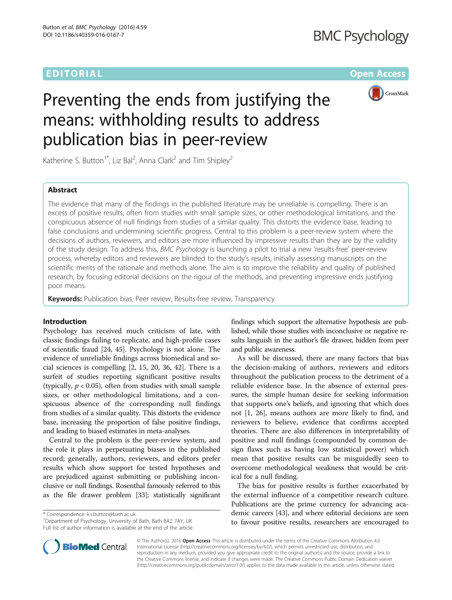# EDITORIAL AND INTERNATIONAL CONTRACT CONTRACT CONTRACT CONTRACT CONTRACT CONTRACT CONTRACT CONTRACT CONTRACT CO



# Preventing the ends from justifying the means: withholding results to address publication bias in peer-review

Katherine S. Button<sup>1\*</sup>, Liz Bal<sup>2</sup>, Anna Clark<sup>2</sup> and Tim Shipley<sup>2</sup>

# Abstract

The evidence that many of the findings in the published literature may be unreliable is compelling. There is an excess of positive results, often from studies with small sample sizes, or other methodological limitations, and the conspicuous absence of null findings from studies of a similar quality. This distorts the evidence base, leading to false conclusions and undermining scientific progress. Central to this problem is a peer-review system where the decisions of authors, reviewers, and editors are more influenced by impressive results than they are by the validity of the study design. To address this, BMC Psychology is launching a pilot to trial a new 'results-free' peer-review process, whereby editors and reviewers are blinded to the study's results, initially assessing manuscripts on the scientific merits of the rationale and methods alone. The aim is to improve the reliability and quality of published research, by focusing editorial decisions on the rigour of the methods, and preventing impressive ends justifying poor means.

Keywords: Publication bias, Peer review, Results-free review, Transparency

# Introduction

Psychology has received much criticism of late, with classic findings failing to replicate, and high-profile cases of scientific fraud [\[24](#page-6-0), [45\]](#page-6-0). Psychology is not alone. The evidence of unreliable findings across biomedical and social sciences is compelling [[2,](#page-5-0) [15, 20, 36](#page-6-0), [42\]](#page-6-0). There is a surfeit of studies reporting significant positive results (typically,  $p < 0.05$ ), often from studies with small sample sizes, or other methodological limitations, and a conspicuous absence of the corresponding null findings from studies of a similar quality. This distorts the evidence base, increasing the proportion of false positive findings, and leading to biased estimates in meta-analyses.

Central to the problem is the peer-review system, and the role it plays in perpetuating biases in the published record; generally, authors, reviewers, and editors prefer results which show support for tested hypotheses and are prejudiced against submitting or publishing inconclusive or null findings. Rosenthal famously referred to this as the file drawer problem [[33](#page-6-0)]; statistically significant

\* Correspondence: [k.s.button@bath.ac.uk](mailto:k.s.button@bath.ac.uk) <sup>1</sup>

<sup>1</sup>Department of Psychology, University of Bath, Bath BA2 7AY, UK Full list of author information is available at the end of the article findings which support the alternative hypothesis are published, while those studies with inconclusive or negative results languish in the author's file drawer, hidden from peer and public awareness.

As will be discussed, there are many factors that bias the decision-making of authors, reviewers and editors throughout the publication process to the detriment of a reliable evidence base. In the absence of external pressures, the simple human desire for seeking information that supports one's beliefs, and ignoring that which does not [[1,](#page-5-0) [26\]](#page-6-0), means authors are more likely to find, and reviewers to believe, evidence that confirms accepted theories. There are also differences in interpretability of positive and null findings (compounded by common design flaws such as having low statistical power) which mean that positive results can be misguidedly seen to overcome methodological weakness that would be critical for a null finding.

The bias for positive results is further exacerbated by the external influence of a competitive research culture. Publications are the prime currency for advancing academic careers [[43](#page-6-0)], and where editorial decisions are seen to favour positive results, researchers are encouraged to



© The Author(s). 2016 Open Access This article is distributed under the terms of the Creative Commons Attribution 4.0 International License [\(http://creativecommons.org/licenses/by/4.0/](http://creativecommons.org/licenses/by/4.0/)), which permits unrestricted use, distribution, and reproduction in any medium, provided you give appropriate credit to the original author(s) and the source, provide a link to the Creative Commons license, and indicate if changes were made. The Creative Commons Public Domain Dedication waiver [\(http://creativecommons.org/publicdomain/zero/1.0/](http://creativecommons.org/publicdomain/zero/1.0/)) applies to the data made available in this article, unless otherwise stated.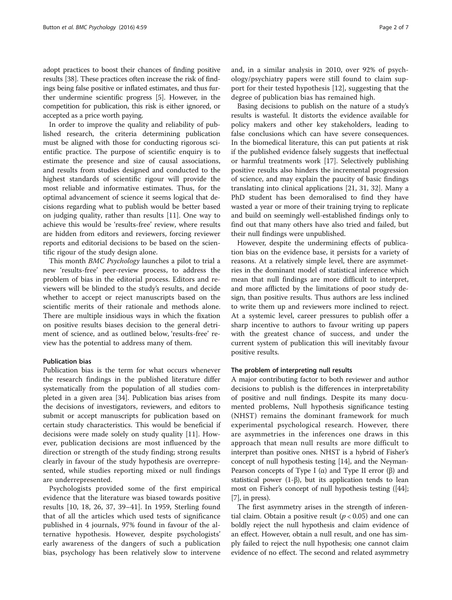adopt practices to boost their chances of finding positive results [[38](#page-6-0)]. These practices often increase the risk of findings being false positive or inflated estimates, and thus further undermine scientific progress [\[5\]](#page-5-0). However, in the competition for publication, this risk is either ignored, or accepted as a price worth paying.

In order to improve the quality and reliability of published research, the criteria determining publication must be aligned with those for conducting rigorous scientific practice. The purpose of scientific enquiry is to estimate the presence and size of causal associations, and results from studies designed and conducted to the highest standards of scientific rigour will provide the most reliable and informative estimates. Thus, for the optimal advancement of science it seems logical that decisions regarding what to publish would be better based on judging quality, rather than results [[11\]](#page-6-0). One way to achieve this would be 'results-free' review, where results are hidden from editors and reviewers, forcing reviewer reports and editorial decisions to be based on the scientific rigour of the study design alone.

This month BMC Psychology launches a pilot to trial a new 'results-free' peer-review process, to address the problem of bias in the editorial process. Editors and reviewers will be blinded to the study's results, and decide whether to accept or reject manuscripts based on the scientific merits of their rationale and methods alone. There are multiple insidious ways in which the fixation on positive results biases decision to the general detriment of science, and as outlined below, 'results-free' review has the potential to address many of them.

# Publication bias

Publication bias is the term for what occurs whenever the research findings in the published literature differ systematically from the population of all studies completed in a given area [\[34](#page-6-0)]. Publication bias arises from the decisions of investigators, reviewers, and editors to submit or accept manuscripts for publication based on certain study characteristics. This would be beneficial if decisions were made solely on study quality [[11\]](#page-6-0). However, publication decisions are most influenced by the direction or strength of the study finding; strong results clearly in favour of the study hypothesis are overrepresented, while studies reporting mixed or null findings are underrepresented.

Psychologists provided some of the first empirical evidence that the literature was biased towards positive results [\[10](#page-6-0), [18](#page-6-0), [26, 37, 39](#page-6-0)–[41\]](#page-6-0). In 1959, Sterling found that of all the articles which used tests of significance published in 4 journals, 97% found in favour of the alternative hypothesis. However, despite psychologists' early awareness of the dangers of such a publication bias, psychology has been relatively slow to intervene and, in a similar analysis in 2010, over 92% of psychology/psychiatry papers were still found to claim support for their tested hypothesis [[12\]](#page-6-0), suggesting that the degree of publication bias has remained high.

Basing decisions to publish on the nature of a study's results is wasteful. It distorts the evidence available for policy makers and other key stakeholders, leading to false conclusions which can have severe consequences. In the biomedical literature, this can put patients at risk if the published evidence falsely suggests that ineffectual or harmful treatments work [\[17\]](#page-6-0). Selectively publishing positive results also hinders the incremental progression of science, and may explain the paucity of basic findings translating into clinical applications [\[21](#page-6-0), [31, 32\]](#page-6-0). Many a PhD student has been demoralised to find they have wasted a year or more of their training trying to replicate and build on seemingly well-established findings only to find out that many others have also tried and failed, but their null findings were unpublished.

However, despite the undermining effects of publication bias on the evidence base, it persists for a variety of reasons. At a relatively simple level, there are asymmetries in the dominant model of statistical inference which mean that null findings are more difficult to interpret, and more afflicted by the limitations of poor study design, than positive results. Thus authors are less inclined to write them up and reviewers more inclined to reject. At a systemic level, career pressures to publish offer a sharp incentive to authors to favour writing up papers with the greatest chance of success, and under the current system of publication this will inevitably favour positive results.

# The problem of interpreting null results

A major contributing factor to both reviewer and author decisions to publish is the differences in interpretability of positive and null findings. Despite its many documented problems, Null hypothesis significance testing (NHST) remains the dominant framework for much experimental psychological research. However, there are asymmetries in the inferences one draws in this approach that mean null results are more difficult to interpret than positive ones. NHST is a hybrid of Fisher's concept of null hypothesis testing [[14](#page-6-0)], and the Neyman-Pearson concepts of Type I (α) and Type II error (β) and statistical power (1-β), but its application tends to lean most on Fisher's concept of null hypothesis testing ([[44](#page-6-0)]; [[7\]](#page-5-0), in press).

The first asymmetry arises in the strength of inferential claim. Obtain a positive result ( $p < 0.05$ ) and one can boldly reject the null hypothesis and claim evidence of an effect. However, obtain a null result, and one has simply failed to reject the null hypothesis; one cannot claim evidence of no effect. The second and related asymmetry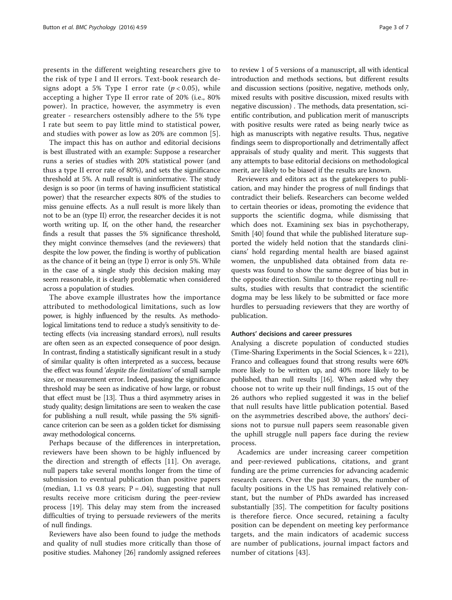presents in the different weighting researchers give to the risk of type I and II errors. Text-book research designs adopt a 5% Type I error rate  $(p < 0.05)$ , while accepting a higher Type II error rate of 20% (i.e., 80% power). In practice, however, the asymmetry is even greater - researchers ostensibly adhere to the 5% type I rate but seem to pay little mind to statistical power, and studies with power as low as 20% are common [[5\]](#page-5-0).

The impact this has on author and editorial decisions is best illustrated with an example: Suppose a researcher runs a series of studies with 20% statistical power (and thus a type II error rate of 80%), and sets the significance threshold at 5%. A null result is uninformative. The study design is so poor (in terms of having insufficient statistical power) that the researcher expects 80% of the studies to miss genuine effects. As a null result is more likely than not to be an (type II) error, the researcher decides it is not worth writing up. If, on the other hand, the researcher finds a result that passes the 5% significance threshold, they might convince themselves (and the reviewers) that despite the low power, the finding is worthy of publication as the chance of it being an (type I) error is only 5%. While in the case of a single study this decision making may seem reasonable, it is clearly problematic when considered across a population of studies.

The above example illustrates how the importance attributed to methodological limitations, such as low power, is highly influenced by the results. As methodological limitations tend to reduce a study's sensitivity to detecting effects (via increasing standard errors), null results are often seen as an expected consequence of poor design. In contrast, finding a statistically significant result in a study of similar quality is often interpreted as a success, because the effect was found 'despite the limitations' of small sample size, or measurement error. Indeed, passing the significance threshold may be seen as indicative of how large, or robust that effect must be [\[13\]](#page-6-0). Thus a third asymmetry arises in study quality; design limitations are seen to weaken the case for publishing a null result, while passing the 5% significance criterion can be seen as a golden ticket for dismissing away methodological concerns.

Perhaps because of the differences in interpretation, reviewers have been shown to be highly influenced by the direction and strength of effects [\[11](#page-6-0)]. On average, null papers take several months longer from the time of submission to eventual publication than positive papers (median, 1.1 vs 0.8 years;  $P = .04$ ), suggesting that null results receive more criticism during the peer-review process [\[19\]](#page-6-0). This delay may stem from the increased difficulties of trying to persuade reviewers of the merits of null findings.

Reviewers have also been found to judge the methods and quality of null studies more critically than those of positive studies. Mahoney [\[26\]](#page-6-0) randomly assigned referees

to review 1 of 5 versions of a manuscript, all with identical introduction and methods sections, but different results and discussion sections (positive, negative, methods only, mixed results with positive discussion, mixed results with negative discussion) . The methods, data presentation, scientific contribution, and publication merit of manuscripts with positive results were rated as being nearly twice as high as manuscripts with negative results. Thus, negative findings seem to disproportionally and detrimentally affect appraisals of study quality and merit. This suggests that any attempts to base editorial decisions on methodological merit, are likely to be biased if the results are known.

Reviewers and editors act as the gatekeepers to publication, and may hinder the progress of null findings that contradict their beliefs. Researchers can become welded to certain theories or ideas, promoting the evidence that supports the scientific dogma, while dismissing that which does not. Examining sex bias in psychotherapy, Smith [\[40\]](#page-6-0) found that while the published literature supported the widely held notion that the standards clinicians' hold regarding mental health are biased against women, the unpublished data obtained from data requests was found to show the same degree of bias but in the opposite direction. Similar to those reporting null results, studies with results that contradict the scientific dogma may be less likely to be submitted or face more hurdles to persuading reviewers that they are worthy of publication.

# Authors' decisions and career pressures

Analysing a discrete population of conducted studies (Time-Sharing Experiments in the Social Sciences,  $k = 221$ ), Franco and colleagues found that strong results were 60% more likely to be written up, and 40% more likely to be published, than null results [\[16\]](#page-6-0). When asked why they choose not to write up their null findings, 15 out of the 26 authors who replied suggested it was in the belief that null results have little publication potential. Based on the asymmetries described above, the authors' decisions not to pursue null papers seem reasonable given the uphill struggle null papers face during the review process.

Academics are under increasing career competition and peer-reviewed publications, citations, and grant funding are the prime currencies for advancing academic research careers. Over the past 30 years, the number of faculty positions in the US has remained relatively constant, but the number of PhDs awarded has increased substantially [\[35](#page-6-0)]. The competition for faculty positions is therefore fierce. Once secured, retaining a faculty position can be dependent on meeting key performance targets, and the main indicators of academic success are number of publications, journal impact factors and number of citations [[43](#page-6-0)].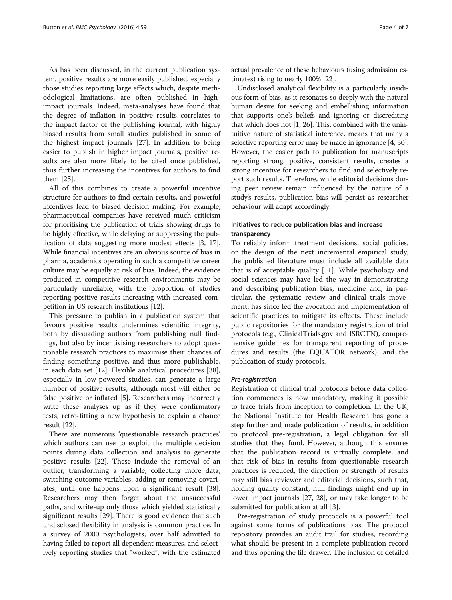As has been discussed, in the current publication system, positive results are more easily published, especially those studies reporting large effects which, despite methodological limitations, are often published in highimpact journals. Indeed, meta-analyses have found that the degree of inflation in positive results correlates to the impact factor of the publishing journal, with highly biased results from small studies published in some of the highest impact journals [[27](#page-6-0)]. In addition to being easier to publish in higher impact journals, positive results are also more likely to be cited once published, thus further increasing the incentives for authors to find them [[25\]](#page-6-0).

All of this combines to create a powerful incentive structure for authors to find certain results, and powerful incentives lead to biased decision making. For example, pharmaceutical companies have received much criticism for prioritising the publication of trials showing drugs to be highly effective, while delaying or suppressing the publication of data suggesting more modest effects [\[3](#page-5-0), [17](#page-6-0)]. While financial incentives are an obvious source of bias in pharma, academics operating in such a competitive career culture may be equally at risk of bias. Indeed, the evidence produced in competitive research environments may be particularly unreliable, with the proportion of studies reporting positive results increasing with increased competition in US research institutions [[12](#page-6-0)].

This pressure to publish in a publication system that favours positive results undermines scientific integrity, both by dissuading authors from publishing null findings, but also by incentivising researchers to adopt questionable research practices to maximise their chances of finding something positive, and thus more publishable, in each data set [[12](#page-6-0)]. Flexible analytical procedures [\[38](#page-6-0)], especially in low-powered studies, can generate a large number of positive results, although most will either be false positive or inflated [\[5](#page-5-0)]. Researchers may incorrectly write these analyses up as if they were confirmatory tests, retro-fitting a new hypothesis to explain a chance result [[22\]](#page-6-0).

There are numerous 'questionable research practices' which authors can use to exploit the multiple decision points during data collection and analysis to generate positive results [[22\]](#page-6-0). These include the removal of an outlier, transforming a variable, collecting more data, switching outcome variables, adding or removing covariates, until one happens upon a significant result [\[38](#page-6-0)]. Researchers may then forget about the unsuccessful paths, and write-up only those which yielded statistically significant results [[29\]](#page-6-0). There is good evidence that such undisclosed flexibility in analysis is common practice. In a survey of 2000 psychologists, over half admitted to having failed to report all dependent measures, and selectively reporting studies that "worked", with the estimated

actual prevalence of these behaviours (using admission estimates) rising to nearly 100% [[22](#page-6-0)].

Undisclosed analytical flexibility is a particularly insidious form of bias, as it resonates so deeply with the natural human desire for seeking and embellishing information that supports one's beliefs and ignoring or discrediting that which does not [[1](#page-5-0), [26\]](#page-6-0). This, combined with the unintuitive nature of statistical inference, means that many a selective reporting error may be made in ignorance [\[4](#page-5-0), [30](#page-6-0)]. However, the easier path to publication for manuscripts reporting strong, positive, consistent results, creates a strong incentive for researchers to find and selectively report such results. Therefore, while editorial decisions during peer review remain influenced by the nature of a study's results, publication bias will persist as researcher behaviour will adapt accordingly.

# Initiatives to reduce publication bias and increase transparency

To reliably inform treatment decisions, social policies, or the design of the next incremental empirical study, the published literature must include all available data that is of acceptable quality [\[11](#page-6-0)]. While psychology and social sciences may have led the way in demonstrating and describing publication bias, medicine and, in particular, the systematic review and clinical trials movement, has since led the avocation and implementation of scientific practices to mitigate its effects. These include public repositories for the mandatory registration of trial protocols (e.g., ClinicalTrials.gov and ISRCTN), comprehensive guidelines for transparent reporting of procedures and results (the EQUATOR network), and the publication of study protocols.

# Pre-registration

Registration of clinical trial protocols before data collection commences is now mandatory, making it possible to trace trials from inception to completion. In the UK, the National Institute for Health Research has gone a step further and made publication of results, in addition to protocol pre-registration, a legal obligation for all studies that they fund. However, although this ensures that the publication record is virtually complete, and that risk of bias in results from questionable research practices is reduced, the direction or strength of results may still bias reviewer and editorial decisions, such that, holding quality constant, null findings might end up in lower impact journals [\[27](#page-6-0), [28\]](#page-6-0), or may take longer to be submitted for publication at all [\[3\]](#page-5-0).

Pre-registration of study protocols is a powerful tool against some forms of publications bias. The protocol repository provides an audit trail for studies, recording what should be present in a complete publication record and thus opening the file drawer. The inclusion of detailed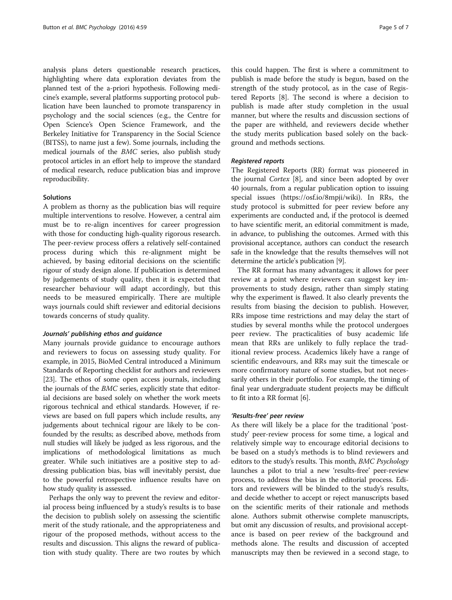analysis plans deters questionable research practices, highlighting where data exploration deviates from the planned test of the a-priori hypothesis. Following medicine's example, several platforms supporting protocol publication have been launched to promote transparency in psychology and the social sciences (e.g., the Centre for Open Science's Open Science Framework, and the Berkeley Initiative for Transparency in the Social Science (BITSS), to name just a few). Some journals, including the medical journals of the BMC series, also publish study protocol articles in an effort help to improve the standard of medical research, reduce publication bias and improve reproducibility.

# Solutions

A problem as thorny as the publication bias will require multiple interventions to resolve. However, a central aim must be to re-align incentives for career progression with those for conducting high-quality rigorous research. The peer-review process offers a relatively self-contained process during which this re-alignment might be achieved, by basing editorial decisions on the scientific rigour of study design alone. If publication is determined by judgements of study quality, then it is expected that researcher behaviour will adapt accordingly, but this needs to be measured empirically. There are multiple ways journals could shift reviewer and editorial decisions towards concerns of study quality.

# Journals' publishing ethos and guidance

Many journals provide guidance to encourage authors and reviewers to focus on assessing study quality. For example, in 2015, BioMed Central introduced a Minimum Standards of Reporting checklist for authors and reviewers [[23](#page-6-0)]. The ethos of some open access journals, including the journals of the BMC series, explicitly state that editorial decisions are based solely on whether the work meets rigorous technical and ethical standards. However, if reviews are based on full papers which include results, any judgements about technical rigour are likely to be confounded by the results; as described above, methods from null studies will likely be judged as less rigorous, and the implications of methodological limitations as much greater. While such initiatives are a positive step to addressing publication bias, bias will inevitably persist, due to the powerful retrospective influence results have on how study quality is assessed.

Perhaps the only way to prevent the review and editorial process being influenced by a study's results is to base the decision to publish solely on assessing the scientific merit of the study rationale, and the appropriateness and rigour of the proposed methods, without access to the results and discussion. This aligns the reward of publication with study quality. There are two routes by which

this could happen. The first is where a commitment to publish is made before the study is begun, based on the strength of the study protocol, as in the case of Registered Reports [[8](#page-6-0)]. The second is where a decision to publish is made after study completion in the usual manner, but where the results and discussion sections of the paper are withheld, and reviewers decide whether the study merits publication based solely on the background and methods sections.

# Registered reports

The Registered Reports (RR) format was pioneered in the journal Cortex [[8\]](#page-6-0), and since been adopted by over 40 journals, from a regular publication option to issuing special issues [\(https://osf.io/8mpji/wiki](https://osf.io/8mpji/wiki)). In RRs, the study protocol is submitted for peer review before any experiments are conducted and, if the protocol is deemed to have scientific merit, an editorial commitment is made, in advance, to publishing the outcomes. Armed with this provisional acceptance, authors can conduct the research safe in the knowledge that the results themselves will not determine the article's publication [\[9\]](#page-6-0).

The RR format has many advantages; it allows for peer review at a point where reviewers can suggest key improvements to study design, rather than simply stating why the experiment is flawed. It also clearly prevents the results from biasing the decision to publish. However, RRs impose time restrictions and may delay the start of studies by several months while the protocol undergoes peer review. The practicalities of busy academic life mean that RRs are unlikely to fully replace the traditional review process. Academics likely have a range of scientific endeavours, and RRs may suit the timescale or more confirmatory nature of some studies, but not necessarily others in their portfolio. For example, the timing of final year undergraduate student projects may be difficult to fit into a RR format [[6\]](#page-5-0).

# 'Results-free' peer review

As there will likely be a place for the traditional 'poststudy' peer-review process for some time, a logical and relatively simple way to encourage editorial decisions to be based on a study's methods is to blind reviewers and editors to the study's results. This month, *BMC Psychology* launches a pilot to trial a new 'results-free' peer-review process, to address the bias in the editorial process. Editors and reviewers will be blinded to the study's results, and decide whether to accept or reject manuscripts based on the scientific merits of their rationale and methods alone. Authors submit otherwise complete manuscripts, but omit any discussion of results, and provisional acceptance is based on peer review of the background and methods alone. The results and discussion of accepted manuscripts may then be reviewed in a second stage, to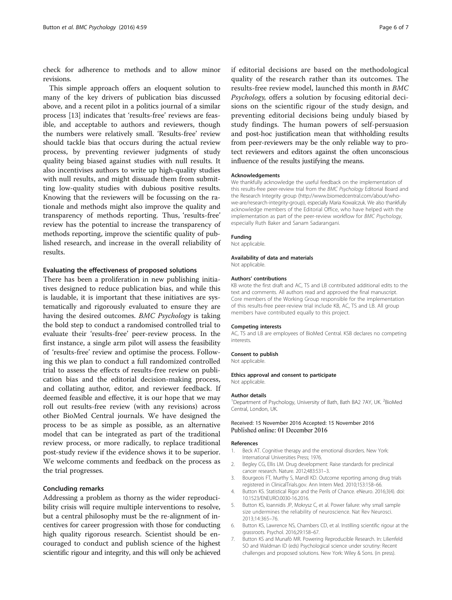<span id="page-5-0"></span>check for adherence to methods and to allow minor revisions.

This simple approach offers an eloquent solution to many of the key drivers of publication bias discussed above, and a recent pilot in a politics journal of a similar process [[13](#page-6-0)] indicates that 'results-free' reviews are feasible, and acceptable to authors and reviewers, though the numbers were relatively small. 'Results-free' review should tackle bias that occurs during the actual review process, by preventing reviewer judgments of study quality being biased against studies with null results. It also incentivises authors to write up high-quality studies with null results, and might dissuade them from submitting low-quality studies with dubious positive results. Knowing that the reviewers will be focussing on the rationale and methods might also improve the quality and transparency of methods reporting. Thus, 'results-free' review has the potential to increase the transparency of methods reporting, improve the scientific quality of published research, and increase in the overall reliability of results.

# Evaluating the effectiveness of proposed solutions

There has been a proliferation in new publishing initiatives designed to reduce publication bias, and while this is laudable, it is important that these initiatives are systematically and rigorously evaluated to ensure they are having the desired outcomes. BMC Psychology is taking the bold step to conduct a randomised controlled trial to evaluate their 'results-free' peer-review process. In the first instance, a single arm pilot will assess the feasibility of 'results-free' review and optimise the process. Following this we plan to conduct a full randomized controlled trial to assess the effects of results-free review on publication bias and the editorial decision-making process, and collating author, editor, and reviewer feedback. If deemed feasible and effective, it is our hope that we may roll out results-free review (with any revisions) across other BioMed Central journals. We have designed the process to be as simple as possible, as an alternative model that can be integrated as part of the traditional review process, or more radically, to replace traditional post-study review if the evidence shows it to be superior. We welcome comments and feedback on the process as the trial progresses.

# Concluding remarks

Addressing a problem as thorny as the wider reproducibility crisis will require multiple interventions to resolve, but a central philosophy must be the re-alignment of incentives for career progression with those for conducting high quality rigorous research. Scientist should be encouraged to conduct and publish science of the highest scientific rigour and integrity, and this will only be achieved

if editorial decisions are based on the methodological quality of the research rather than its outcomes. The results-free review model, launched this month in BMC Psychology, offers a solution by focusing editorial decisions on the scientific rigour of the study design, and preventing editorial decisions being unduly biased by study findings. The human powers of self-persuasion and post-hoc justification mean that withholding results from peer-reviewers may be the only reliable way to protect reviewers and editors against the often unconscious influence of the results justifying the means.

#### Acknowledgements

We thankfully acknowledge the useful feedback on the implementation of this results-free peer-review trial from the BMC Psychology Editorial Board and the Research Integrity group [\(http://www.biomedcentral.com/about/who](http://www.biomedcentral.com/about/who-we-are/research-integrity-group)[we-are/research-integrity-group\)](http://www.biomedcentral.com/about/who-we-are/research-integrity-group), especially Maria Kowalczuk. We also thankfully acknowledge members of the Editorial Office, who have helped with the implementation as part of the peer-review workflow for BMC Psychology, especially Ruth Baker and Sanam Sadarangani.

#### Funding

Not applicable.

#### Availability of data and materials

Not applicable.

# Authors' contributions

KB wrote the first draft and AC, TS and LB contributed additional edits to the text and comments. All authors read and approved the final manuscript. Core members of the Working Group responsible for the implementation of this results-free peer-review trial include KB, AC, TS and LB. All group members have contributed equally to this project.

#### Competing interests

AC, TS and LB are employees of BioMed Central. KSB declares no competing interests.

### Consent to publish

Not applicable.

#### Ethics approval and consent to participate Not applicable.

#### Author details

<sup>1</sup>Department of Psychology, University of Bath, Bath BA2 7AY, UK. <sup>2</sup>BioMed Central, London, UK.

# Received: 15 November 2016 Accepted: 15 November 2016 Published online: 01 December 2016

## References

- 1. Beck AT. Cognitive therapy and the emotional disorders. New York: International Universities Press; 1976.
- 2. Begley CG, Ellis LM. Drug development: Raise standards for preclinical cancer research. Nature. 2012;483:531–3.
- 3. Bourgeois FT, Murthy S, Mandl KD. Outcome reporting among drug trials registered in ClinicalTrials.gov. Ann Intern Med. 2010;153:158–66.
- 4. Button KS. Statistical Rigor and the Perils of Chance. eNeuro. 2016;3(4). doi: [10.1523/ENEURO.0030-16.2016](http://dx.doi.org/10.1523/ENEURO.0030-16.2016).
- 5. Button KS, Ioannidis JP, Mokrysz C, et al. Power failure: why small sample size undermines the reliability of neuroscience. Nat Rev Neurosci. 2013;14:365–76.
- 6. Button KS, Lawrence NS, Chambers CD, et al. Instilling scientific rigour at the grassroots. Psychol. 2016;29:158–67.
- 7. Button KS and Munafò MR. Powering Reproducible Research. In: Lilienfeld SO and Waldman ID (eds) Psychological science under scrutiny: Recent challenges and proposed solutions. New York: Wiley & Sons. (in press).